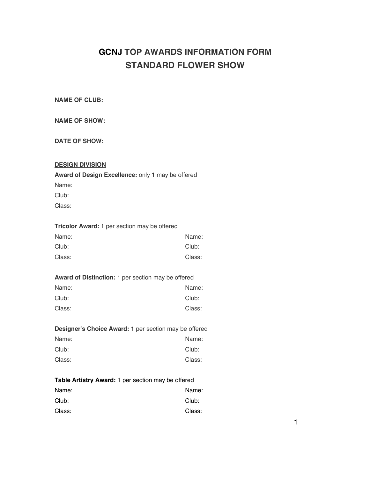## **GCNJ TOP AWARDS INFORMATION FORM STANDARD FLOWER SHOW**

**NAME OF CLUB:**

|  | <b>NAME OF SHOW:</b> |
|--|----------------------|
|  |                      |

**DATE OF SHOW:**

#### **DESIGN DIVISION**

**Award of Design Excellence:** only 1 may be offered Name: Club:

Class:

| <b>Tricolor Award:</b> 1 per section may be offered |        |
|-----------------------------------------------------|--------|
| Name:                                               | Name:  |
| Club:                                               | Club:  |
| Class:                                              | Class: |

#### **Award of Distinction:** 1 per section may be offered

| Name:  | Name:  |
|--------|--------|
| Club:  | Club:  |
| Class: | Class: |

| <b>Designer's Choice Award: 1 per section may be offered</b> |        |
|--------------------------------------------------------------|--------|
| Name:                                                        | Name:  |
| Club:                                                        | Club:  |
| Class:                                                       | Class: |

# **Table Artistry Award:** 1 per section may be offered

| Name:  | Name:  |
|--------|--------|
| Club:  | Club:  |
| Class: | Class: |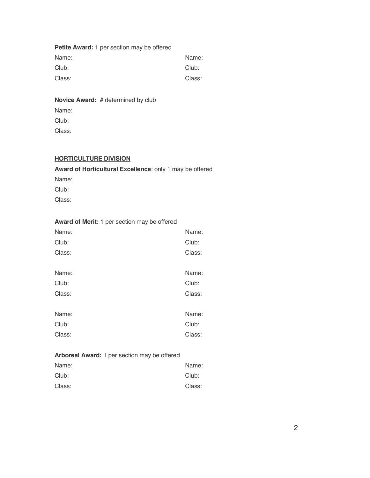## **Petite Award:** 1 per section may be offered Name: Name: Club: Club: Class: Class:

## **Novice Award:** # determined by club

Name:

Club:

Class:

## **HORTICULTURE DIVISION**

## **Award of Horticultural Excellence**: only 1 may be offered

Name:

Club:

Class:

#### **Award of Merit:** 1 per section may be offered

| Name:  | Name:  |
|--------|--------|
| Club:  | Club:  |
| Class: | Class: |
|        |        |
| Name:  | Name:  |
| Club:  | Club:  |
| Class: | Class: |
|        |        |
| Name:  | Name:  |
| Club:  | Club:  |
| Class: | Class: |

#### **Arboreal Award:** 1 per section may be offered

| Name:  | Name:  |
|--------|--------|
| Club:  | Club:  |
| Class: | Class: |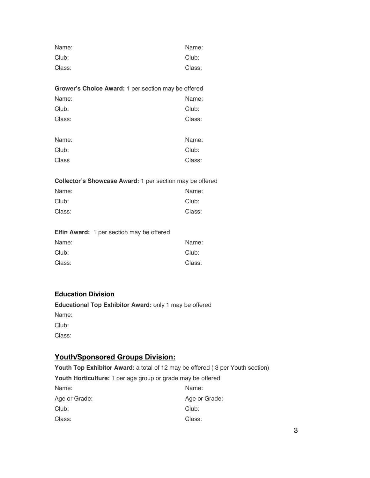| Name:  | Name:  |
|--------|--------|
| Club:  | Club:  |
| Class: | Class: |

| <b>Grower's Choice Award: 1 per section may be offered</b> |       |
|------------------------------------------------------------|-------|
| Name:                                                      | Name: |
| Club:                                                      | Club: |

| Class: | Class: |
|--------|--------|
|        |        |

| Name: | Name:  |
|-------|--------|
| Club: | Club:  |
| Class | Class: |

**Collector's Showcase Award:** 1 per section may be offered

| Name:  | Name:  |
|--------|--------|
| Club:  | Club:  |
| Class: | Class: |

|        | <b>Elfin Award:</b> 1 per section may be offered |        |
|--------|--------------------------------------------------|--------|
| Name:  |                                                  | Name:  |
| Club:  |                                                  | Club:  |
| Class: |                                                  | Class: |

## **Education Division**

**Educational Top Exhibitor Award:** only 1 may be offered Name: Club:

Class:

## **Youth/Sponsored Groups Division:**

**Youth Top Exhibitor Award:** a total of 12 may be offered ( 3 per Youth section) **Youth Horticulture:** 1 per age group or grade may be offered

| Name:         | Name:         |
|---------------|---------------|
| Age or Grade: | Age or Grade: |
| Club:         | Club:         |
| Class:        | Class:        |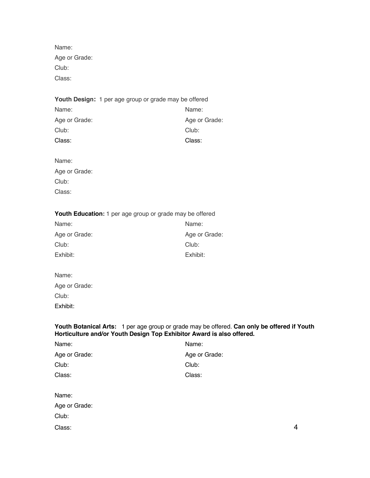Name: Age or Grade: Club: Class:

#### **Youth Design:** 1 per age group or grade may be offered

| Name:         | Name:         |
|---------------|---------------|
| Age or Grade: | Age or Grade: |
| Club:         | Club:         |
| Class:        | Class:        |

Name:

| Age or Grade: |
|---------------|
| Club:         |
| Class:        |

## **Youth Education:** 1 per age group or grade may be offered

| Name:         | Name:         |
|---------------|---------------|
| Age or Grade: | Age or Grade: |
| Club:         | Club:         |
| Exhibit:      | Exhibit:      |

| Name:         |  |
|---------------|--|
| Age or Grade: |  |
| Club:         |  |
| Exhibit:      |  |

#### **Youth Botanical Arts:** 1 per age group or grade may be offered. **Can only be offered if Youth Horticulture and/or Youth Design Top Exhibitor Award is also offered.**

| Name:         | Name:         |
|---------------|---------------|
| Age or Grade: | Age or Grade: |
| Club:         | Club:         |
| Class:        | Class:        |
|               |               |
| Name:         |               |
| Age or Grade: |               |
| Club:         |               |

Class: 4